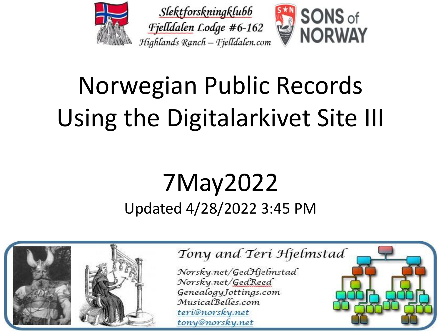

# Norwegian Public Records Using the Digitalarkivet Site III

### 7May2022 Updated 4/28/2022 3:45 PM



#### Tony and Teri Hjelmstad

Norsky.net/GedHjelmstad Norsky.net/GedReed GenealogyJottings.com MusicalBelles.com teri@norsky.net tony@norsky.net

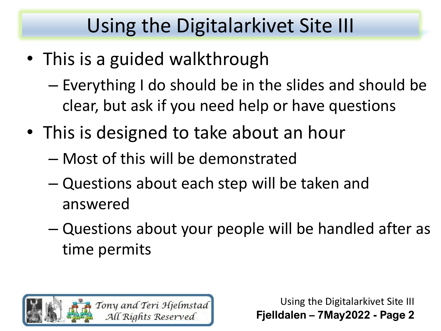- This is a guided walkthrough
	- Everything I do should be in the slides and should be clear, but ask if you need help or have questions
- This is designed to take about an hour
	- Most of this will be demonstrated
	- Questions about each step will be taken and answered
	- Questions about your people will be handled after as time permits

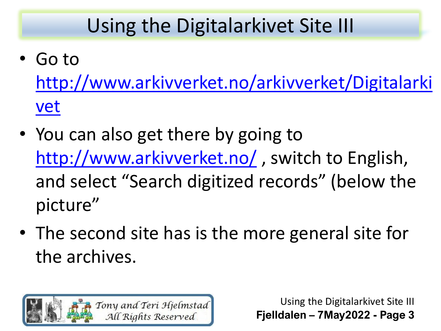- Go to [http://www.arkivverket.no/arkivverket/Digitalarki](http://www.arkivverket.no/arkivverket/Digitalarkivet) vet
- You can also get there by going to <http://www.arkivverket.no/>, switch to English, and select "Search digitized records" (below the picture"
- The second site has is the more general site for the archives.

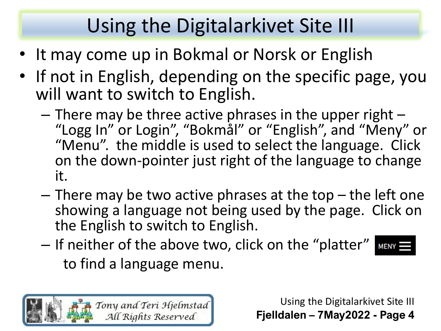- It may come up in Bokmal or Norsk or English
- If not in English, depending on the specific page, you will want to switch to English.
	- $-$  There may be three active phrases in the upper right  $-$ "Logg In" or Login", "Bokmål" or "English", and "Meny" or "Menu". the middle is used to select the language. Click on the down-pointer just right of the language to change it.
	- $-$  There may be two active phrases at the top  $-$  the left one showing a language not being used by the page. Click on the English to switch to English.
	- If neither of the above two, click on the "platter" MENY = to find a language menu.

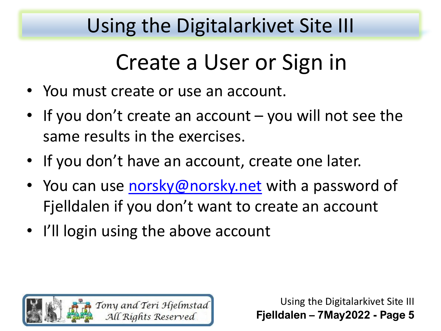# Create a User or Sign in

- You must create or use an account.
- If you don't create an account you will not see the same results in the exercises.
- If you don't have an account, create one later.
- You can use [norsky@norsky.net](mailto:norsky@norsky.net) with a password of Fjelldalen if you don't want to create an account
- I'll login using the above account

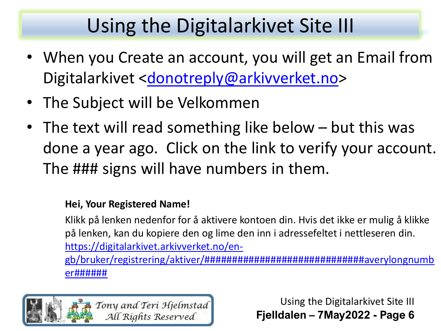- When you Create an account, you will get an Email from Digitalarkivet [<donotreply@arkivverket.no>](mailto:donotreply@arkivverket.no)
- The Subject will be Velkommen
- The text will read something like below but this was done a year ago. Click on the link to verify your account. The ### signs will have numbers in them.

#### **Hei, Your Registered Name!**

Klikk på lenken nedenfor for å aktivere kontoen din. Hvis det ikke er mulig å klikke på lenken, kan du kopiere den og lime den inn i adressefeltet i nettleseren din. https://digitalarkivet.arkivverket.no/en[gb/bruker/registrering/aktiver/#############################averylongnumb](https://digitalarkivet.arkivverket.no/en-gb/bruker/registrering/aktiver/#############################averylongnumber######) er######

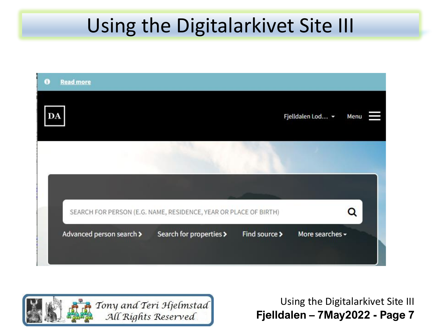

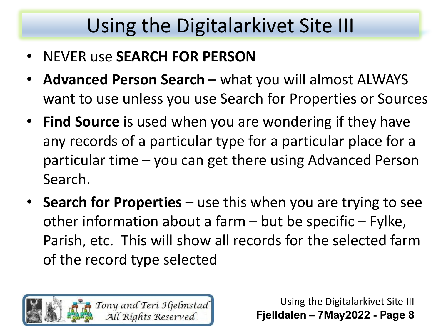- NEVER use **SEARCH FOR PERSON**
- **Advanced Person Search** what you will almost ALWAYS want to use unless you use Search for Properties or Sources
- **Find Source** is used when you are wondering if they have any records of a particular type for a particular place for a particular time – you can get there using Advanced Person Search.
- **Search for Properties**  use this when you are trying to see other information about a farm  $-$  but be specific  $-$  Fylke, Parish, etc. This will show all records for the selected farm of the record type selected

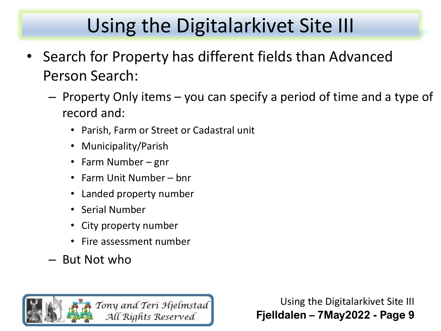- Search for Property has different fields than Advanced Person Search:
	- Property Only items you can specify a period of time and a type of record and:
		- Parish, Farm or Street or Cadastral unit
		- Municipality/Parish
		- Farm Number gnr
		- Farm Unit Number bnr
		- Landed property number
		- Serial Number
		- City property number
		- Fire assessment number
	- But Not who

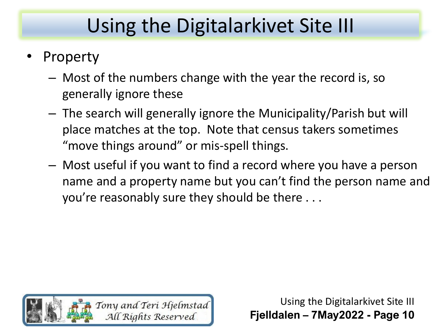- **Property** 
	- Most of the numbers change with the year the record is, so generally ignore these
	- The search will generally ignore the Municipality/Parish but will place matches at the top. Note that census takers sometimes "move things around" or mis-spell things.
	- Most useful if you want to find a record where you have a person name and a property name but you can't find the person name and you're reasonably sure they should be there . . .

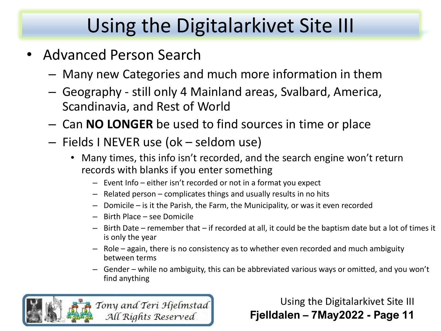- Advanced Person Search
	- Many new Categories and much more information in them
	- Geography still only 4 Mainland areas, Svalbard, America, Scandinavia, and Rest of World
	- Can **NO LONGER** be used to find sources in time or place
	- Fields I NEVER use (ok seldom use)
		- Many times, this info isn't recorded, and the search engine won't return records with blanks if you enter something
			- Event Info either isn't recorded or not in a format you expect
			- Related person complicates things and usually results in no hits
			- Domicile is it the Parish, the Farm, the Municipality, or was it even recorded
			- Birth Place see Domicile
			- Birth Date remember that if recorded at all, it could be the baptism date but a lot of times it is only the year
			- Role again, there is no consistency as to whether even recorded and much ambiguity between terms
			- Gender while no ambiguity, this can be abbreviated various ways or omitted, and you won't find anything

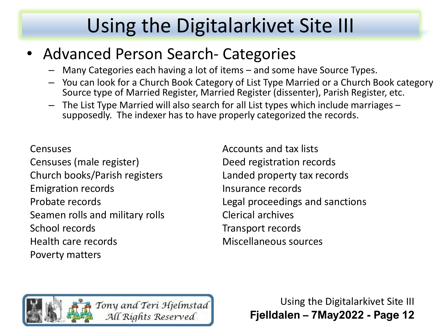### • Advanced Person Search- Categories

- Many Categories each having a lot of items and some have Source Types.
- You can look for a Church Book Category of List Type Married or a Church Book category Source type of Married Register, Married Register (dissenter), Parish Register, etc.
- The List Type Married will also search for all List types which include marriages supposedly. The indexer has to have properly categorized the records.

#### **Censuses**

Censuses (male register) Church books/Parish registers Emigration records Probate records Seamen rolls and military rolls School records Health care records Poverty matters

Accounts and tax lists Deed registration records Landed property tax records Insurance records Legal proceedings and sanctions Clerical archives Transport records Miscellaneous sources

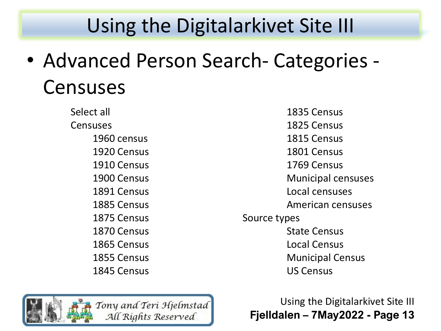• Advanced Person Search- Categories - Censuses

> Select all Censuses 1960 census 1920 Census 1910 Census 1900 Census 1891 Census 1885 Census 1875 Census 1870 Census 1865 Census 1855 Census 1845 Census

1835 Census 1825 Census 1815 Census 1801 Census 1769 Census Municipal censuses Local censuses American censuses Source types State Census Local Census Municipal Census US Census

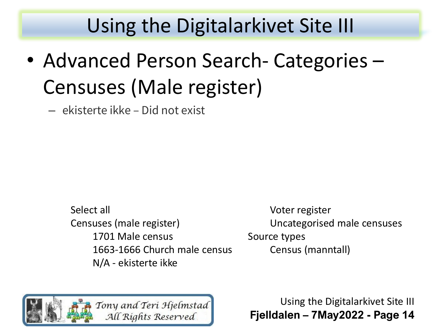• Advanced Person Search- Categories – Censuses (Male register)

– ekisterte ikke – Did not exist

Select all Censuses (male register) 1701 Male census 1663-1666 Church male census N/A - ekisterte ikke

Voter register Uncategorised male censuses Source types Census (manntall)

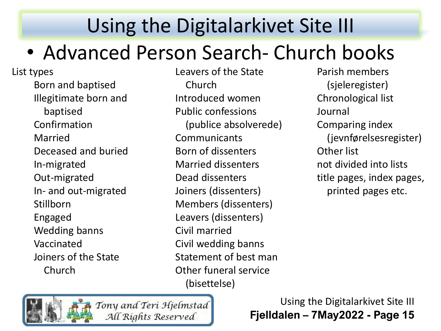### • Advanced Person Search- Church books

List types Born and baptised Illegitimate born and baptised Confirmation Married Deceased and buried In-migrated Out-migrated In- and out-migrated **Stillborn** Engaged Wedding banns Vaccinated Joiners of the State Church

Leavers of the State Church Introduced women Public confessions (publice absolverede) **Communicants** Born of dissenters Married dissenters Dead dissenters Joiners (dissenters) Members (dissenters) Leavers (dissenters) Civil married Civil wedding banns Statement of best man Other funeral service (bisettelse)

Parish members (sjeleregister) Chronological list Journal Comparing index (jevnførelsesregister) Other list not divided into lists title pages, index pages, printed pages etc.

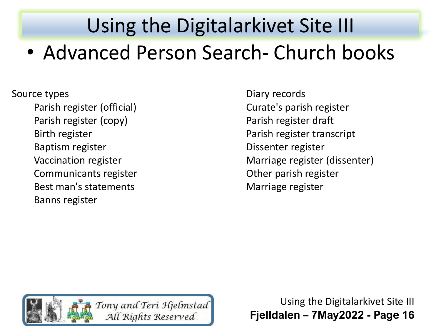Source types

Parish register (official) Parish register (copy) Birth register Baptism register Vaccination register Communicants register Best man's statements Banns register

Diary records Curate's parish register Parish register draft Parish register transcript Dissenter register Marriage register (dissenter) Other parish register Marriage register

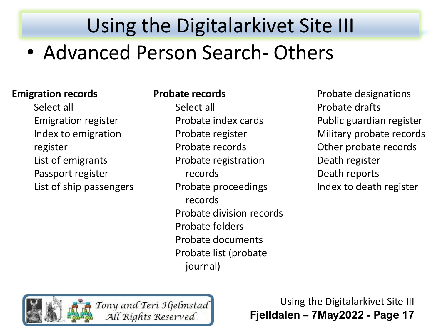#### **Emigration records**

Select all Emigration register Index to emigration register List of emigrants Passport register List of ship passengers

#### **Probate records**

Select all Probate index cards Probate register Probate records Probate registration records Probate proceedings records Probate division records Probate folders Probate documents Probate list (probate journal)

Probate designations Probate drafts Public guardian register Military probate records Other probate records Death register Death reports Index to death register

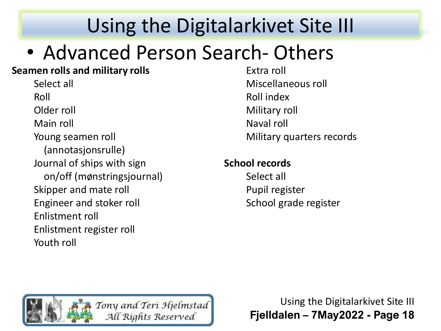### • Advanced Person Search- Others

#### **Seamen rolls and military rolls**

Select all Roll Older roll Main roll Young seamen roll (annotasjonsrulle) Journal of ships with sign on/off (mønstringsjournal) Skipper and mate roll Engineer and stoker roll Enlistment roll Enlistment register roll Youth roll

Extra roll Miscellaneous roll Roll index Military roll Naval roll Military quarters records

#### **School records**

Select all Pupil register School grade register

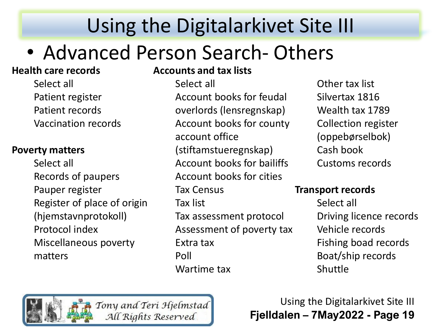## • Advanced Person Search- Others

#### **Health care records**

Select all Patient register Patient records Vaccination records

#### **Poverty matters**

Select all Records of paupers Pauper register Register of place of origin (hjemstavnprotokoll) Protocol index Miscellaneous poverty matters

#### **Accounts and tax lists**

Select all Account books for feudal overlords (lensregnskap) Account books for county account office (stiftamstueregnskap) Account books for bailiffs Account books for cities Tax Census Tax list Tax assessment protocol Assessment of poverty tax Extra tax Poll Wartime tax

Other tax list Silvertax 1816 Wealth tax 1789 Collection register (oppebørselbok) Cash book Customs records

#### **Transport records**

Select all Driving licence records Vehicle records Fishing boad records Boat/ship records Shuttle

Tony and Teri Hjelmstad All Rights Reserved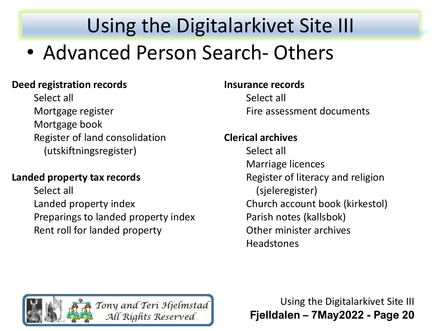#### **Deed registration records**

Select all Mortgage register Mortgage book Register of land consolidation (utskiftningsregister)

#### **Landed property tax records**

Select all Landed property index Preparings to landed property index Rent roll for landed property

#### **Insurance records**

Select all Fire assessment documents

#### **Clerical archives**

Select all Marriage licences Register of literacy and religion (sjeleregister) Church account book (kirkestol) Parish notes (kallsbok) Other minister archives **Headstones** 

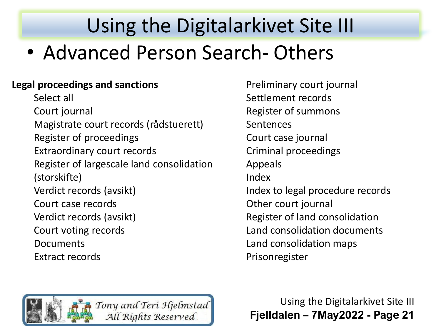#### **Legal proceedings and sanctions**

Select all Court journal Magistrate court records (rådstuerett) Register of proceedings Extraordinary court records Register of largescale land consolidation (storskifte) Verdict records (avsikt) Court case records Verdict records (avsikt) Court voting records Documents Extract records

Preliminary court journal Settlement records Register of summons Sentences Court case journal Criminal proceedings Appeals Index Index to legal procedure records Other court journal Register of land consolidation Land consolidation documents Land consolidation maps Prisonregister

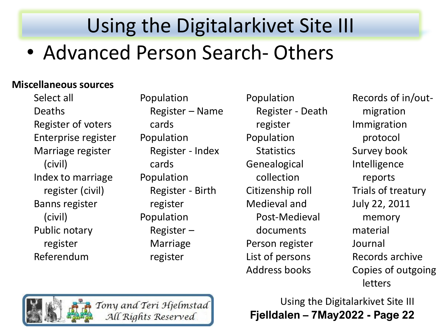#### **Miscellaneous sources**

Select all Deaths Register of voters Enterprise register Marriage register (civil) Index to marriage register (civil) Banns register (civil) Public notary register Referendum

Population Register – Name cards Population Register - Index cards Population Register - Birth register Population Register – Marriage register

Population Register - Death register Population **Statistics** Genealogical collection Citizenship roll Medieval and Post-Medieval documents Person register List of persons Address books

Records of in/outmigration Immigration protocol Survey book Intelligence reports Trials of treatury July 22, 2011 memory material Journal Records archive Copies of outgoing letters



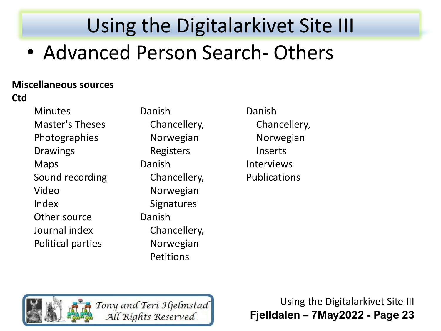#### **Miscellaneous sources**

**Ctd**

**Minutes** Master's Theses Photographies Drawings Maps Sound recording Video Index Other source Journal index Political parties

Danish Chancellery, Norwegian Registers Danish Chancellery, Norwegian **Signatures** Danish Chancellery, Norwegian Petitions

Danish Chancellery, Norwegian Inserts Interviews Publications

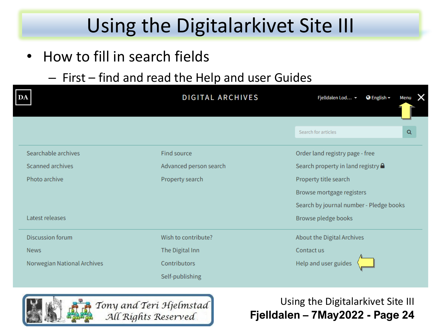- How to fill in search fields
	- First find and read the Help and user Guides

| DA                          | <b>DIGITAL ARCHIVES</b>                  | Fjelldalen Lod ~<br>$\bigcirc$ English $\bigcirc$<br>X<br><b>Menu</b> |  |  |  |  |
|-----------------------------|------------------------------------------|-----------------------------------------------------------------------|--|--|--|--|
|                             |                                          | Search for articles<br>Q                                              |  |  |  |  |
| Searchable archives         | Find source                              | Order land registry page - free                                       |  |  |  |  |
| Scanned archives            | Advanced person search                   | Search property in land registry $\triangle$                          |  |  |  |  |
| Photo archive               | Property title search<br>Property search |                                                                       |  |  |  |  |
|                             |                                          | Browse mortgage registers                                             |  |  |  |  |
|                             |                                          | Search by journal number - Pledge books                               |  |  |  |  |
| Latest releases             |                                          | Browse pledge books                                                   |  |  |  |  |
| <b>Discussion forum</b>     | Wish to contribute?                      | About the Digital Archives                                            |  |  |  |  |
| <b>News</b>                 | The Digital Inn                          | Contact us                                                            |  |  |  |  |
| Norwegian National Archives | Contributors                             | Help and user guides                                                  |  |  |  |  |
|                             | Self-publishing                          |                                                                       |  |  |  |  |

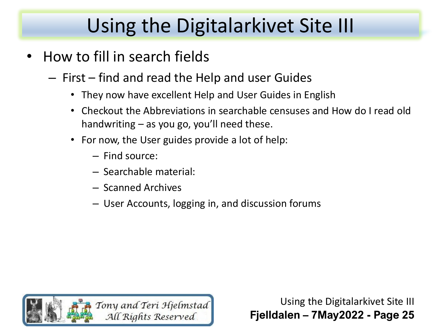- How to fill in search fields
	- First find and read the Help and user Guides
		- They now have excellent Help and User Guides in English
		- Checkout the Abbreviations in searchable censuses and How do I read old handwriting – as you go, you'll need these.
		- For now, the User guides provide a lot of help:
			- Find source:
			- Searchable material:
			- Scanned Archives
			- User Accounts, logging in, and discussion forums

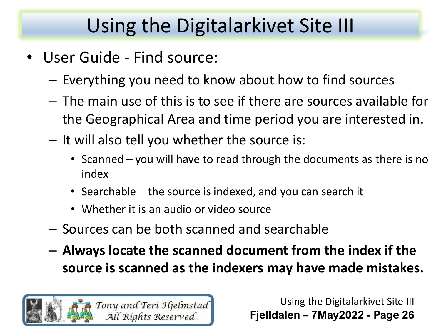- User Guide Find source:
	- Everything you need to know about how to find sources
	- The main use of this is to see if there are sources available for the Geographical Area and time period you are interested in.
	- It will also tell you whether the source is:
		- Scanned you will have to read through the documents as there is no index
		- Searchable the source is indexed, and you can search it
		- Whether it is an audio or video source
	- Sources can be both scanned and searchable
	- **Always locate the scanned document from the index if the source is scanned as the indexers may have made mistakes.**

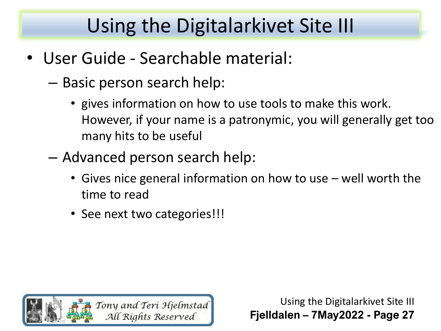- User Guide Searchable material:
	- Basic person search help:
		- gives information on how to use tools to make this work. However, if your name is a patronymic, you will generally get too many hits to be useful
	- Advanced person search help:
		- Gives nice general information on how to use well worth the time to read
		- See next two categories!!!

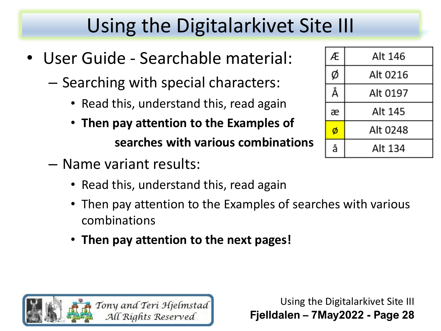- User Guide Searchable material:
	- Searching with special characters:
		- Read this, understand this, read again
		- **Then pay attention to the Examples of searches with various combinations**
	- Name variant results:
		- Read this, understand this, read again
		- Then pay attention to the Examples of searches with various combinations
		- **Then pay attention to the next pages!**



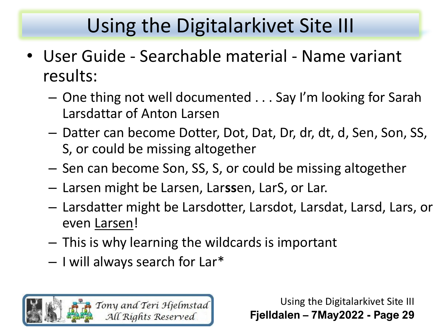- User Guide Searchable material Name variant results:
	- One thing not well documented . . . Say I'm looking for Sarah Larsdattar of Anton Larsen
	- Datter can become Dotter, Dot, Dat, Dr, dr, dt, d, Sen, Son, SS, S, or could be missing altogether
	- Sen can become Son, SS, S, or could be missing altogether
	- Larsen might be Larsen, Lar**ss**en, LarS, or Lar.
	- Larsdatter might be Larsdotter, Larsdot, Larsdat, Larsd, Lars, or even Larsen!
	- This is why learning the wildcards is important
	- I will always search for Lar\*

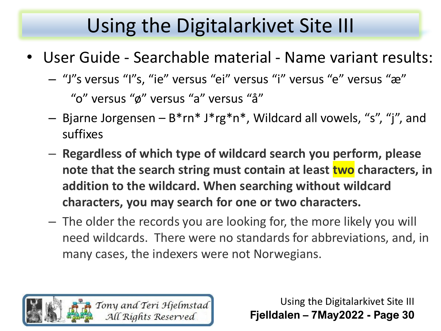- User Guide Searchable material Name variant results:
	- "J"s versus "I"s, "ie" versus "ei" versus "i" versus "e" versus "æ" "o" versus "ø" versus "a" versus "å"
	- Bjarne Jorgensen B\*rn\* J\*rg\*n\*, Wildcard all vowels, "s", "j", and suffixes
	- **Regardless of which type of wildcard search you perform, please note that the search string must contain at least two characters, in addition to the wildcard. When searching without wildcard characters, you may search for one or two characters.**
	- The older the records you are looking for, the more likely you will need wildcards. There were no standards for abbreviations, and, in many cases, the indexers were not Norwegians.

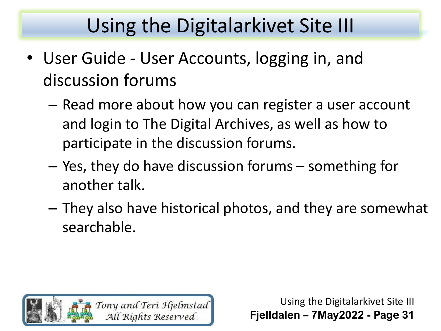- User Guide User Accounts, logging in, and discussion forums
	- Read more about how you can register a user account and login to The Digital Archives, as well as how to participate in the discussion forums.
	- Yes, they do have discussion forums something for another talk.
	- They also have historical photos, and they are somewhat searchable.

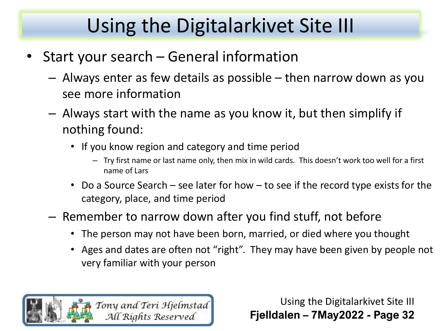- Start your search General information
	- Always enter as few details as possible then narrow down as you see more information
	- Always start with the name as you know it, but then simplify if nothing found:
		- If you know region and category and time period
			- Try first name or last name only, then mix in wild cards. This doesn't work too well for a first name of Lars
		- Do a Source Search see later for how to see if the record type exists for the category, place, and time period
	- Remember to narrow down after you find stuff, not before
		- The person may not have been born, married, or died where you thought
		- Ages and dates are often not "right". They may have been given by people not very familiar with your person

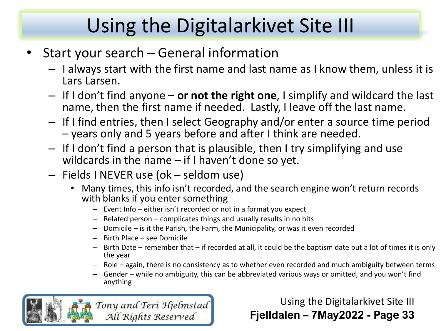- Start your search General information
	- I always start with the first name and last name as I know them, unless it is Lars Larsen.
	- If I don't find anyone **or not the right one**, I simplify and wildcard the last name, then the first name if needed. Lastly, I leave off the last name.
	- If I find entries, then I select Geography and/or enter a source time period – years only and 5 years before and after I think are needed.
	- If I don't find a person that is plausible, then I try simplifying and use wildcards in the name  $-$  if I haven't done so yet.
	- Fields I NEVER use (ok seldom use)
		- Many times, this info isn't recorded, and the search engine won't return records with blanks if you enter something
			- Event Info either isn't recorded or not in a format you expect
			- Related person complicates things and usually results in no hits
			- Domicile is it the Parish, the Farm, the Municipality, or was it even recorded
			- Birth Place see Domicile
			- Birth Date remember that if recorded at all, it could be the baptism date but a lot of times it is only the year
			- Role again, there is no consistency as to whether even recorded and much ambiguity between terms
			- Gender while no ambiguity, this can be abbreviated various ways or omitted, and you won't find anything

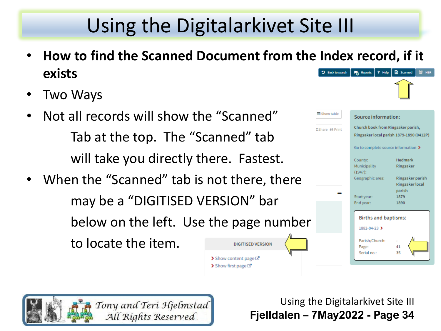• **How to find the Scanned Document from the Index record, if it exists** "D Back to search Po Reports | ? Help **E** Scanned

> $\blacktriangleright$  Show content page  $\boxtimes$  $\triangleright$  Show first page  $\square$ <sup>\*</sup>

- Two Ways
- Not all records will show the "Scanned" Tab at the top. The "Scanned" tab will take you directly there. Fastest.
- When the "Scanned" tab is not there, there may be a "DIGITISED VERSION" bar below on the left. Use the page number to locate the item.**DIGITISED VERSION**



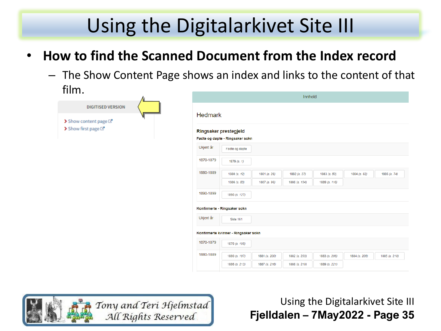- **How to find the Scanned Document from the Index record**
	- The Show Content Page shows an index and links to the content of that film.

|                                                  |                       |                                      |               | Innhold       |               |               |               |
|--------------------------------------------------|-----------------------|--------------------------------------|---------------|---------------|---------------|---------------|---------------|
| <b>DIGITISED VERSION</b><br>Show content page L' | <b>Hedmark</b>        |                                      |               |               |               |               |               |
| Show first page ⊡*                               | Ringsaker prestegjeld | Fødte og døpte - Ringsaker sokn      |               |               |               |               |               |
|                                                  | Ukjent år             | Fødte og døpte                       |               |               |               |               |               |
|                                                  | 1870-1879             | 1879 $(s. 1)$                        |               |               |               |               |               |
|                                                  | 1880-1889             | 1880 (s. 12)                         | 1881 (s. 26)  | 1882 (s. 37)  | 1883 (s. 50)  | 1884 (s. 62)  | 1885 (s. 74)  |
|                                                  |                       | 1886 (s. 83)                         | 1887 (s. 96)  | 1888 (s. 104) | 1889 (s. 116) |               |               |
|                                                  | 1890-1899             | 1890 (s. 127)                        |               |               |               |               |               |
|                                                  |                       | Konfirmerte - Ringsaker sokn         |               |               |               |               |               |
|                                                  | Ukjent år             | <b>Side 161</b>                      |               |               |               |               |               |
|                                                  |                       | Konfirmerte kvinner - Ringsaker sokn |               |               |               |               |               |
|                                                  | 1870-1879             | 1879 (s. 195)                        |               |               |               |               |               |
|                                                  | 1880-1889             | 1880 (s. 197)                        | 1881 (s. 200) | 1882 (s. 203) | 1883 (s. 206) | 1884 (s. 208) | 1885 (s. 210) |
|                                                  |                       |                                      |               |               |               |               |               |

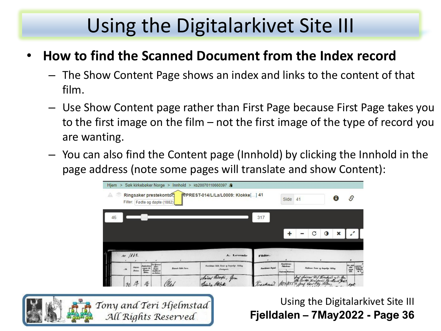### • **How to find the Scanned Document from the Index record**

- The Show Content Page shows an index and links to the content of that film.
- Use Show Content page rather than First Page because First Page takes you to the first image on the film – not the first image of the type of record you are wanting.
- You can also find the Content page (Innhold) by clicking the Innhold in the page address (note some pages will translate and show Content):

| $Hiem$ >        |                     |                |                                               |                                                          | Søk kirkebøker Norge > Innhold > kb20070110660397           |                        |                                                             |                                             |                  |                                 |
|-----------------|---------------------|----------------|-----------------------------------------------|----------------------------------------------------------|-------------------------------------------------------------|------------------------|-------------------------------------------------------------|---------------------------------------------|------------------|---------------------------------|
| A               |                     |                |                                               | Ringsaker prestekontor,<br>Filter: Fødte og døpte (1882) | FTPREST-014/L/La/L0009: Klokke[] 41                         |                        | Side                                                        | Œ<br>41                                     | $\mathcal{S}$    |                                 |
| 46              |                     |                |                                               |                                                          |                                                             | 317                    |                                                             |                                             |                  |                                 |
|                 |                     |                |                                               |                                                          |                                                             |                        |                                                             | C<br>O<br>×                                 |                  |                                 |
| Aar / 182       |                     |                |                                               |                                                          | A. Levende                                                  | r'ödte.                |                                                             |                                             |                  |                                 |
| $\mathbf{M}$    | Fidents.<br>Datass. | firms<br>allow | far Brann<br>Bush-<br>Shodhnist<br>any Badasa | Barok fish Jara.                                         | Paradémas fidés Navar ay kacyachyr Nitlling<br>(Northgaret) | <b>Fundings Bepal.</b> | <b>Roseldwan</b><br><b>Pitcherboard</b><br>Faderma Moderman | <b>Fathrons Yorks og barpelige Stillag.</b> | $\frac{mgh}{da}$ | tena del<br>Tallania<br>Al ki e |
| $\overline{32}$ |                     | 佺              |                                               |                                                          | our Piscopia, gran                                          |                        |                                                             | Seef claircas dif threaken y 5 gm           | Agh              |                                 |

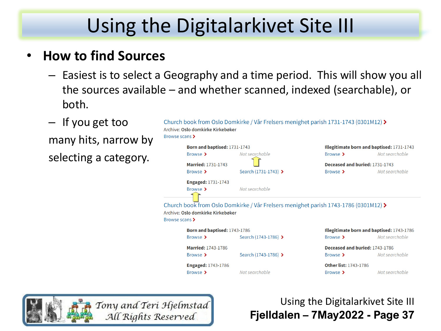### • **How to find Sources**

- Easiest is to select a Geography and a time period. This will show you all the sources available – and whether scanned, indexed (searchable), or both.
- If you get too

many hits, narrow by selecting a category.

| Browse scans >                                                                                                                             | Archive: Oslo domkirke Kirkebøker | Church book from Oslo Domkirke / Vår Frelsers menighet parish 1731-1743 (0301M12) $\blacktriangleright$ |                                           |                |  |  |  |  |
|--------------------------------------------------------------------------------------------------------------------------------------------|-----------------------------------|---------------------------------------------------------------------------------------------------------|-------------------------------------------|----------------|--|--|--|--|
|                                                                                                                                            | Born and baptised: 1731-1743      |                                                                                                         | Illegitimate born and baptised: 1731-1743 |                |  |  |  |  |
|                                                                                                                                            | Browse >                          | Not searchable                                                                                          | Browse >                                  | Not searchable |  |  |  |  |
|                                                                                                                                            | <b>Married: 1731-1743</b>         |                                                                                                         | Deceased and buried: 1731-1743            |                |  |  |  |  |
|                                                                                                                                            | Browse >                          | Search (1731-1743) >                                                                                    | Browse >                                  | Not searchable |  |  |  |  |
|                                                                                                                                            | <b>Engaged: 1731-1743</b>         |                                                                                                         |                                           |                |  |  |  |  |
|                                                                                                                                            | Browse >                          | Not searchable                                                                                          |                                           |                |  |  |  |  |
| Church book from Oslo Domkirke / Vår Frelsers menighet parish 1743-1786 (0301M12) ><br>Archive: Oslo domkirke Kirkebøker<br>Browse scans > |                                   |                                                                                                         |                                           |                |  |  |  |  |
|                                                                                                                                            | Born and baptised: 1743-1786      |                                                                                                         | Illegitimate born and baptised: 1743-1786 |                |  |  |  |  |
|                                                                                                                                            | Browse >                          | Search (1743-1786) >                                                                                    | Browse >                                  | Not searchable |  |  |  |  |
|                                                                                                                                            | <b>Married: 1743-1786</b>         |                                                                                                         | Deceased and buried: 1743-1786            |                |  |  |  |  |
|                                                                                                                                            | Browse >                          | Search (1743-1786) >                                                                                    | Browse >                                  | Not searchable |  |  |  |  |
|                                                                                                                                            | <b>Engaged: 1743-1786</b>         |                                                                                                         | <b>Other list: 1743-1786</b>              |                |  |  |  |  |
|                                                                                                                                            | Browse >                          | Not searchable                                                                                          | Browse >                                  | Not searchable |  |  |  |  |

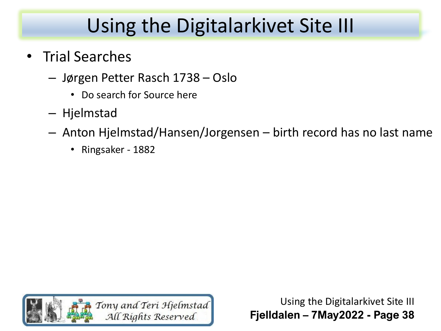### • Trial Searches

- Jørgen Petter Rasch 1738 Oslo
	- Do search for Source here
- Hjelmstad
- Anton Hjelmstad/Hansen/Jorgensen birth record has no last name
	- Ringsaker 1882

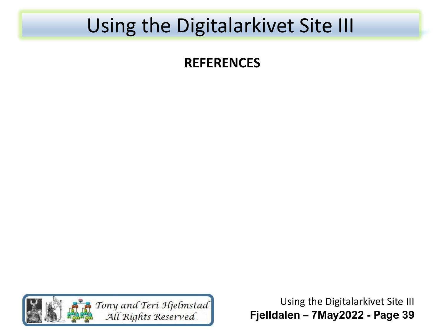### **REFERENCES**